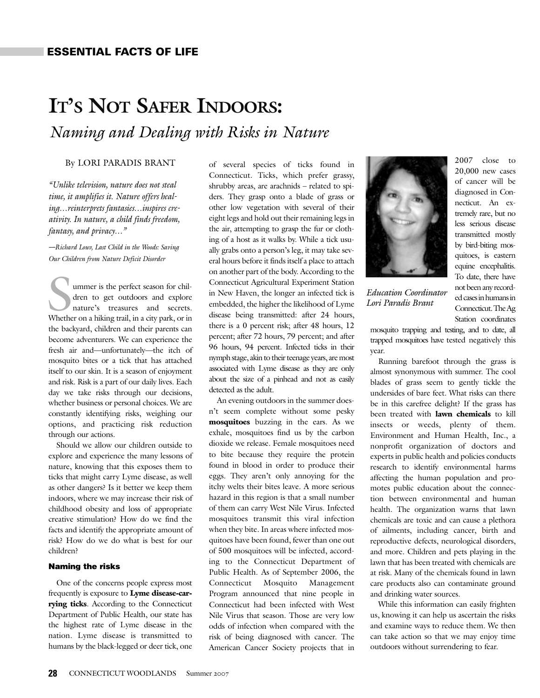## **IT'S NOT SAFER INDOORS:** *Naming and Dealing with Risks in Nature*

#### By LORI PARADIS BRANT

*"Unlike television, nature does not steal time, it amplifies it. Nature offers healing…reinterprets fantasies…inspires creativity. In nature, a child finds freedom, fantasy, and privacy…"*

*—Richard Louv, Last Child in the Woods: Saving Our Children from Nature Deficit Disorder*

ummer is the perfect season for children to get outdoors and explore nature's treasures and secrets. Whether on a hiking trail, in a city park, or in the backyard, children and their parents can become adventurers. We can experience the fresh air and—unfortunately—the itch of mosquito bites or a tick that has attached itself to our skin. It is a season of enjoyment and risk. Risk is a part of our daily lives. Each day we take risks through our decisions, whether business or personal choices. We are constantly identifying risks, weighing our options, and practicing risk reduction through our actions.

Should we allow our children outside to explore and experience the many lessons of nature, knowing that this exposes them to ticks that might carry Lyme disease, as well as other dangers? Is it better we keep them indoors, where we may increase their risk of childhood obesity and loss of appropriate creative stimulation? How do we find the facts and identify the appropriate amount of risk? How do we do what is best for our children?

#### **Naming the risks**

One of the concerns people express most frequently is exposure to **Lyme disease-carrying ticks**. According to the Connecticut Department of Public Health, our state has the highest rate of Lyme disease in the nation. Lyme disease is transmitted to humans by the black-legged or deer tick, one

of several species of ticks found in Connecticut. Ticks, which prefer grassy, shrubby areas, are arachnids – related to spiders. They grasp onto a blade of grass or other low vegetation with several of their eight legs and hold out their remaining legs in the air, attempting to grasp the fur or clothing of a host as it walks by. While a tick usually grabs onto a person's leg, it may take several hours before it finds itself a place to attach on another part of the body. According to the Connecticut Agricultural Experiment Station in New Haven, the longer an infected tick is embedded, the higher the likelihood of Lyme disease being transmitted: after 24 hours, there is a 0 percent risk; after 48 hours, 12 percent; after 72 hours, 79 percent; and after 96 hours, 94 percent. Infected ticks in their nymph stage, akin to their teenage years, are most associated with Lyme disease as they are only about the size of a pinhead and not as easily detected as the adult.

An evening outdoors in the summer doesn't seem complete without some pesky **mosquitoes** buzzing in the ears. As we exhale, mosquitoes find us by the carbon dioxide we release. Female mosquitoes need to bite because they require the protein found in blood in order to produce their eggs. They aren't only annoying for the itchy welts their bites leave. A more serious hazard in this region is that a small number of them can carry West Nile Virus. Infected mosquitoes transmit this viral infection when they bite. In areas where infected mosquitoes have been found, fewer than one out of 500 mosquitoes will be infected, according to the Connecticut Department of Public Health. As of September 2006, the Connecticut Mosquito Management Program announced that nine people in Connecticut had been infected with West Nile Virus that season. Those are very low odds of infection when compared with the risk of being diagnosed with cancer. The American Cancer Society projects that in



Education Coordinator Lori Paradis Brant

2007 close to 20,000 new cases of cancer will be diagnosed in Connecticut. An extremely rare, but no less serious disease transmitted mostly by bird-biting mosquitoes, is eastern equine encephalitis. To date, there have not been any recorded cases in humans in Connecticut. The Ag Station coordinates

mosquito trapping and testing, and to date, all trapped mosquitoes have tested negatively this year.

Running barefoot through the grass is almost synonymous with summer. The cool blades of grass seem to gently tickle the undersides of bare feet. What risks can there be in this carefree delight? If the grass has been treated with **lawn chemicals** to kill insects or weeds, plenty of them. Environment and Human Health, Inc., a nonprofit organization of doctors and experts in public health and policies conducts research to identify environmental harms affecting the human population and promotes public education about the connection between environmental and human health. The organization warns that lawn chemicals are toxic and can cause a plethora of ailments, including cancer, birth and reproductive defects, neurological disorders, and more. Children and pets playing in the lawn that has been treated with chemicals are at risk. Many of the chemicals found in lawn care products also can contaminate ground and drinking water sources.

While this information can easily frighten us, knowing it can help us ascertain the risks and examine ways to reduce them. We then can take action so that we may enjoy time outdoors without surrendering to fear.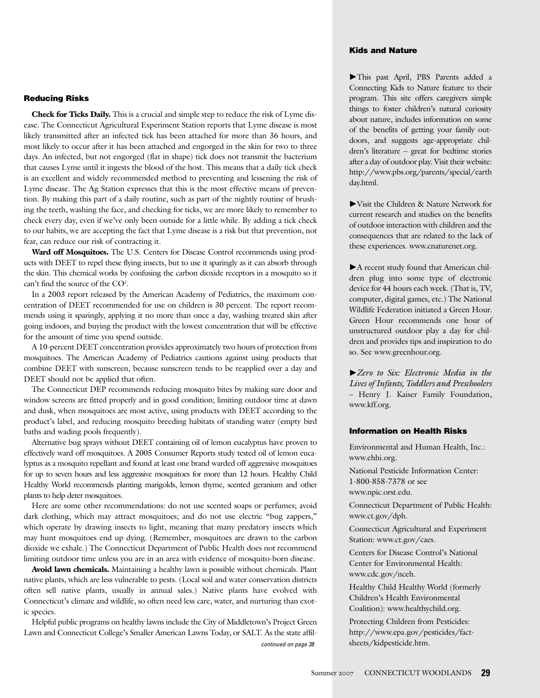#### **Reducing Risks**

**Check for Ticks Daily.** This is a crucial and simple step to reduce the risk of Lyme disease. The Connecticut Agricultural Experiment Station reports that Lyme disease is most likely transmitted after an infected tick has been attached for more than 36 hours, and most likely to occur after it has been attached and engorged in the skin for two to three days. An infected, but not engorged (flat in shape) tick does not transmit the bacterium that causes Lyme until it ingests the blood of the host. This means that a daily tick check is an excellent and widely recommended method to preventing and lessening the risk of Lyme disease. The Ag Station expresses that this is the most effective means of prevention. By making this part of a daily routine, such as part of the nightly routine of brushing the teeth, washing the face, and checking for ticks, we are more likely to remember to check every day, even if we've only been outside for a little while. By adding a tick check to our habits, we are accepting the fact that Lyme disease is a risk but that prevention, not fear, can reduce our risk of contracting it.

**Ward off Mosquitoes.** The U.S. Centers for Disease Control recommends using products with DEET to repel these flying insects, but to use it sparingly as it can absorb through the skin. This chemical works by confusing the carbon dioxide receptors in a mosquito so it can't find the source of the  $CO<sup>2</sup>$ .

In a 2003 report released by the American Academy of Pediatrics, the maximum concentration of DEET recommended for use on children is 30 percent. The report recommends using it sparingly, applying it no more than once a day, washing treated skin after going indoors, and buying the product with the lowest concentration that will be effective for the amount of time you spend outside.

A 10-percent DEET concentration provides approximately two hours of protection from mosquitoes. The American Academy of Pediatrics cautions against using products that combine DEET with sunscreen, because sunscreen tends to be reapplied over a day and DEET should not be applied that often.

The Connecticut DEP recommends reducing mosquito bites by making sure door and window screens are fitted properly and in good condition; limiting outdoor time at dawn and dusk, when mosquitoes are most active, using products with DEET according to the product's label, and reducing mosquito breeding habitats of standing water (empty bird baths and wading pools frequently).

Alternative bug sprays without DEET containing oil of lemon eucalyptus have proven to effectively ward off mosquitoes. A 2005 Consumer Reports study tested oil of lemon eucalyptus as a mosquito repellant and found at least one brand warded off aggressive mosquitoes for up to seven hours and less aggressive mosquitoes for more than 12 hours. Healthy Child Healthy World recommends planting marigolds, lemon thyme, scented geranium and other plants to help deter mosquitoes.

Here are some other recommendations: do not use scented soaps or perfumes; avoid dark clothing, which may attract mosquitoes; and do not use electric "bug zappers," which operate by drawing insects to light, meaning that many predatory insects which may hunt mosquitoes end up dying. (Remember, mosquitoes are drawn to the carbon dioxide we exhale.) The Connecticut Department of Public Health does not recommend limiting outdoor time unless you are in an area with evidence of mosquito-born disease.

**Avoid lawn chemicals.** Maintaining a healthy lawn is possible without chemicals. Plant native plants, which are less vulnerable to pests. (Local soil and water conservation districts often sell native plants, usually in annual sales.) Native plants have evolved with Connecticut's climate and wildlife, so often need less care, water, and nurturing than exotic species.

Helpful public programs on healthy lawns include the City of Middletown's Project Green Lawn and Connecticut College's Smaller American Lawns Today, or SALT. As the state affil-

#### **Kids and Nature**

This past April, PBS Parents added a Connecting Kids to Nature feature to their program. This site offers caregivers simple things to foster children's natural curiosity about nature, includes information on some of the benefits of getting your family outdoors, and suggests age-appropriate children's literature – great for bedtime stories after a day of outdoor play. Visit their website: http://www.pbs.org/parents/special/earth day.html.

Visit the Children & Nature Network for current research and studies on the benefits of outdoor interaction with children and the consequences that are related to the lack of these experiences. www.cnaturenet.org.

A recent study found that American children plug into some type of electronic device for 44 hours each week. (That is, TV, computer, digital games, etc.) The National Wildlife Federation initiated a Green Hour. Green Hour recommends one hour of unstructured outdoor play a day for children and provides tips and inspiration to do so. See www.greenhour.org.

*Zero to Six: Electronic Media in the Lives of Infants, Toddlers and Preschoolers* – Henry J. Kaiser Family Foundation, www.kff.org.

#### **Information on Health Risks**

Environmental and Human Health, Inc.: www.ehhi.org.

National Pesticide Information Center: 1-800-858-7378 or see www.npic.orst.edu.

Connecticut Department of Public Health: www.ct.gov/dph.

Connecticut Agricultural and Experiment Station: www.ct.gov/caes.

Centers for Disease Control's National Center for Environmental Health: www.cdc.gov/nceh.

Healthy Child Healthy World (formerly Children's Health Environmental Coalition): www.healthychild.org.

Protecting Children from Pesticides: http://www.epa.gov/pesticides/fact*continued on page <sup>38</sup>* sheets/kidpesticide.htm.